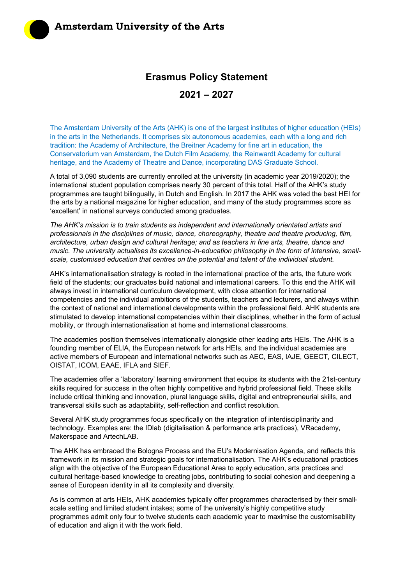## **Erasmus Policy Statement**

**2021 – 2027**

The Amsterdam University of the Arts (AHK) is one of the largest institutes of higher education (HEIs) in the arts in the Netherlands. It comprises six autonomous academies, each with a long and rich tradition: the Academy of Architecture, the Breitner Academy for fine art in education, the Conservatorium van Amsterdam, the Dutch Film Academy, the Reinwardt Academy for cultural heritage, and the Academy of Theatre and Dance, incorporating DAS Graduate School.

A total of 3,090 students are currently enrolled at the university (in academic year 2019/2020); the international student population comprises nearly 30 percent of this total. Half of the AHK's study programmes are taught bilingually, in Dutch and English. In 2017 the AHK was voted the best HEI for the arts by a national magazine for higher education, and many of the study programmes score as 'excellent' in national surveys conducted among graduates.

*The AHK's mission is to train students as independent and internationally orientated artists and professionals in the disciplines of music, dance, choreography, theatre and theatre producing, film, architecture, urban design and cultural heritage; and as teachers in fine arts, theatre, dance and music. The university actualises its excellence-in-education philosophy in the form of intensive, smallscale, customised education that centres on the potential and talent of the individual student.*

AHK's internationalisation strategy is rooted in the international practice of the arts, the future work field of the students; our graduates build national and international careers. To this end the AHK will always invest in international curriculum development, with close attention for international competencies and the individual ambitions of the students, teachers and lecturers, and always within the context of national and international developments within the professional field. AHK students are stimulated to develop international competencies within their disciplines, whether in the form of actual mobility, or through internationalisation at home and international classrooms.

The academies position themselves internationally alongside other leading arts HEIs. The AHK is a founding member of ELIA, the European network for arts HEIs, and the individual academies are active members of European and international networks such as AEC, EAS, IAJE, GEECT, CILECT, OISTAT, ICOM, EAAE, IFLA and SIEF.

The academies offer a 'laboratory' learning environment that equips its students with the 21st-century skills required for success in the often highly competitive and hybrid professional field. These skills include critical thinking and innovation, plural language skills, digital and entrepreneurial skills, and transversal skills such as adaptability, self-reflection and conflict resolution.

Several AHK study programmes focus specifically on the integration of interdisciplinarity and technology. Examples are: the IDlab (digitalisation & performance arts practices), VRacademy, Makerspace and ArtechLAB.

The AHK has embraced the Bologna Process and the EU's Modernisation Agenda, and reflects this framework in its mission and strategic goals for internationalisation. The AHK's educational practices align with the objective of the European Educational Area to apply education, arts practices and cultural heritage-based knowledge to creating jobs, contributing to social cohesion and deepening a sense of European identity in all its complexity and diversity.

As is common at arts HEIs, AHK academies typically offer programmes characterised by their smallscale setting and limited student intakes; some of the university's highly competitive study programmes admit only four to twelve students each academic year to maximise the customisability of education and align it with the work field.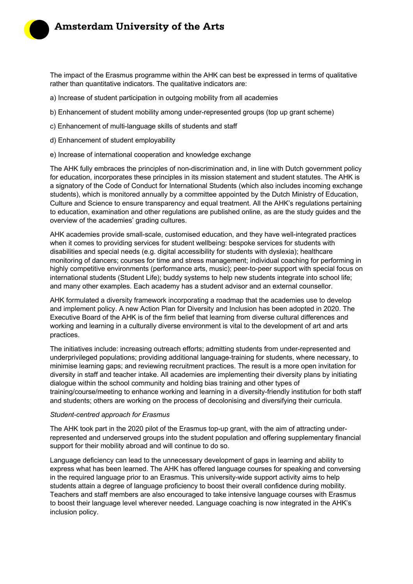The impact of the Erasmus programme within the AHK can best be expressed in terms of qualitative rather than quantitative indicators. The qualitative indicators are:

- a) Increase of student participation in outgoing mobility from all academies
- b) Enhancement of student mobility among under-represented groups (top up grant scheme)
- c) Enhancement of multi-language skills of students and staff
- d) Enhancement of student employability
- e) Increase of international cooperation and knowledge exchange

The AHK fully embraces the principles of non-discrimination and, in line with Dutch government policy for education, incorporates these principles in its mission statement and student statutes. The AHK is a signatory of the Code of Conduct for International Students (which also includes incoming exchange students), which is monitored annually by a committee appointed by the Dutch Ministry of Education, Culture and Science to ensure transparency and equal treatment. All the AHK's regulations pertaining to education, examination and other regulations are published online, as are the study guides and the overview of the academies' grading cultures.

AHK academies provide small-scale, customised education, and they have well-integrated practices when it comes to providing services for student wellbeing: bespoke services for students with disabilities and special needs (e.g. digital accessibility for students with dyslexia); healthcare monitoring of dancers; courses for time and stress management; individual coaching for performing in highly competitive environments (performance arts, music); peer-to-peer support with special focus on international students (Student Life); buddy systems to help new students integrate into school life; and many other examples. Each academy has a student advisor and an external counsellor.

AHK formulated a diversity framework incorporating a roadmap that the academies use to develop and implement policy. A new Action Plan for Diversity and Inclusion has been adopted in 2020. The Executive Board of the AHK is of the firm belief that learning from diverse cultural differences and working and learning in a culturally diverse environment is vital to the development of art and arts practices.

The initiatives include: increasing outreach efforts; admitting students from under-represented and underprivileged populations; providing additional language-training for students, where necessary, to minimise learning gaps; and reviewing recruitment practices. The result is a more open invitation for diversity in staff and teacher intake. All academies are implementing their diversity plans by initiating dialogue within the school community and holding bias training and other types of training/course/meeting to enhance working and learning in a diversity-friendly institution for both staff and students; others are working on the process of decolonising and diversifying their curricula.

## *Student-centred approach for Erasmus*

The AHK took part in the 2020 pilot of the Erasmus top-up grant, with the aim of attracting underrepresented and underserved groups into the student population and offering supplementary financial support for their mobility abroad and will continue to do so.

Language deficiency can lead to the unnecessary development of gaps in learning and ability to express what has been learned. The AHK has offered language courses for speaking and conversing in the required language prior to an Erasmus. This university-wide support activity aims to help students attain a degree of language proficiency to boost their overall confidence during mobility. Teachers and staff members are also encouraged to take intensive language courses with Erasmus to boost their language level wherever needed. Language coaching is now integrated in the AHK's inclusion policy.